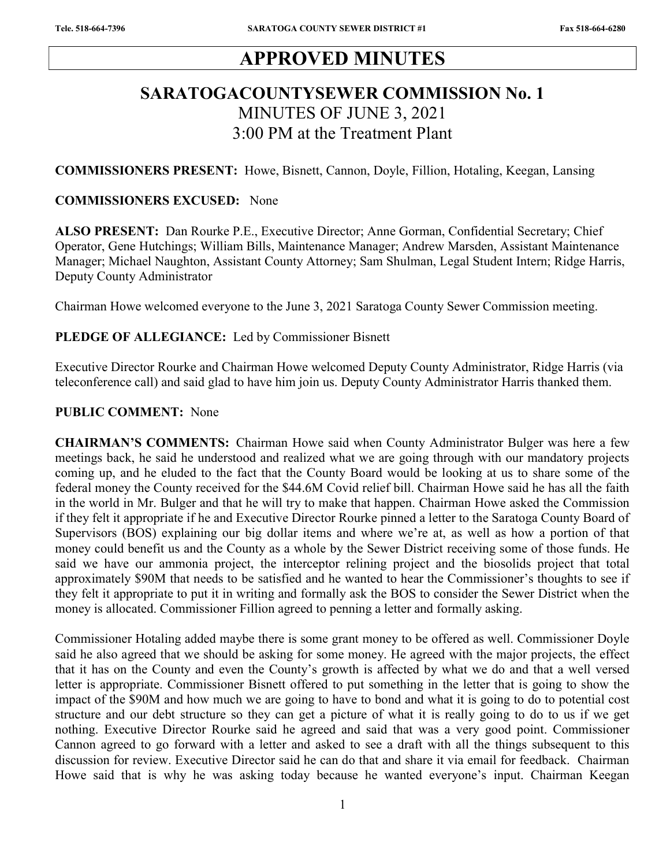# APPROVED MINUTES

# SARATOGACOUNTYSEWER COMMISSION No. 1 MINUTES OF JUNE 3, 2021 3:00 PM at the Treatment Plant

COMMISSIONERS PRESENT: Howe, Bisnett, Cannon, Doyle, Fillion, Hotaling, Keegan, Lansing

#### COMMISSIONERS EXCUSED: None

ALSO PRESENT: Dan Rourke P.E., Executive Director; Anne Gorman, Confidential Secretary; Chief Operator, Gene Hutchings; William Bills, Maintenance Manager; Andrew Marsden, Assistant Maintenance Manager; Michael Naughton, Assistant County Attorney; Sam Shulman, Legal Student Intern; Ridge Harris, Deputy County Administrator

Chairman Howe welcomed everyone to the June 3, 2021 Saratoga County Sewer Commission meeting.

#### PLEDGE OF ALLEGIANCE: Led by Commissioner Bisnett

Executive Director Rourke and Chairman Howe welcomed Deputy County Administrator, Ridge Harris (via teleconference call) and said glad to have him join us. Deputy County Administrator Harris thanked them.

### PUBLIC COMMENT: None

CHAIRMAN'S COMMENTS: Chairman Howe said when County Administrator Bulger was here a few meetings back, he said he understood and realized what we are going through with our mandatory projects coming up, and he eluded to the fact that the County Board would be looking at us to share some of the federal money the County received for the \$44.6M Covid relief bill. Chairman Howe said he has all the faith in the world in Mr. Bulger and that he will try to make that happen. Chairman Howe asked the Commission if they felt it appropriate if he and Executive Director Rourke pinned a letter to the Saratoga County Board of Supervisors (BOS) explaining our big dollar items and where we're at, as well as how a portion of that money could benefit us and the County as a whole by the Sewer District receiving some of those funds. He said we have our ammonia project, the interceptor relining project and the biosolids project that total approximately \$90M that needs to be satisfied and he wanted to hear the Commissioner's thoughts to see if they felt it appropriate to put it in writing and formally ask the BOS to consider the Sewer District when the money is allocated. Commissioner Fillion agreed to penning a letter and formally asking.

Commissioner Hotaling added maybe there is some grant money to be offered as well. Commissioner Doyle said he also agreed that we should be asking for some money. He agreed with the major projects, the effect that it has on the County and even the County's growth is affected by what we do and that a well versed letter is appropriate. Commissioner Bisnett offered to put something in the letter that is going to show the impact of the \$90M and how much we are going to have to bond and what it is going to do to potential cost structure and our debt structure so they can get a picture of what it is really going to do to us if we get nothing. Executive Director Rourke said he agreed and said that was a very good point. Commissioner Cannon agreed to go forward with a letter and asked to see a draft with all the things subsequent to this discussion for review. Executive Director said he can do that and share it via email for feedback. Chairman Howe said that is why he was asking today because he wanted everyone's input. Chairman Keegan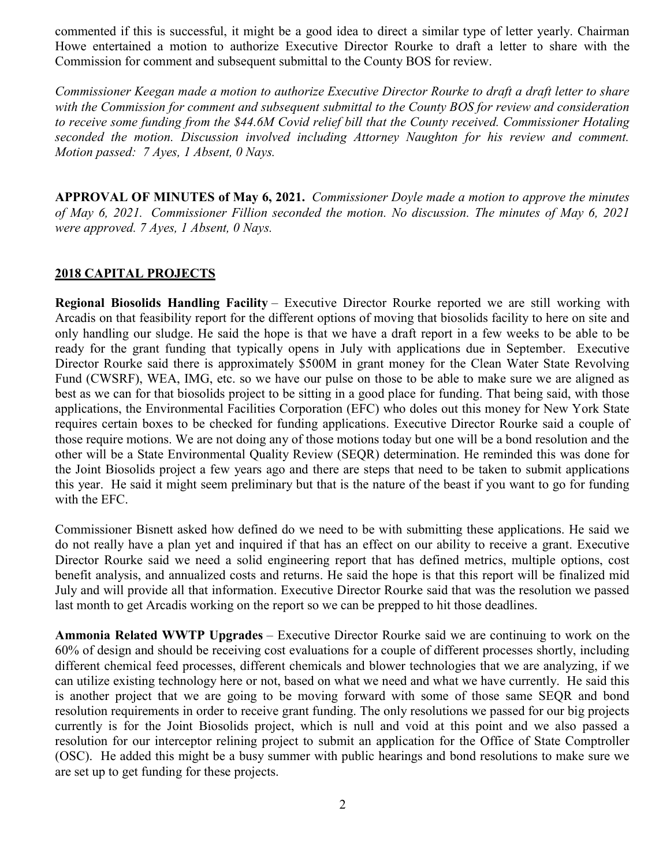commented if this is successful, it might be a good idea to direct a similar type of letter yearly. Chairman Howe entertained a motion to authorize Executive Director Rourke to draft a letter to share with the Commission for comment and subsequent submittal to the County BOS for review.

Commissioner Keegan made a motion to authorize Executive Director Rourke to draft a draft letter to share with the Commission for comment and subsequent submittal to the County BOS for review and consideration to receive some funding from the \$44.6M Covid relief bill that the County received. Commissioner Hotaling seconded the motion. Discussion involved including Attorney Naughton for his review and comment. Motion passed: 7 Ayes, 1 Absent, 0 Nays.

APPROVAL OF MINUTES of May 6, 2021. Commissioner Doyle made a motion to approve the minutes of May 6, 2021. Commissioner Fillion seconded the motion. No discussion. The minutes of May 6, 2021 were approved. 7 Ayes, 1 Absent, 0 Nays.

### 2018 CAPITAL PROJECTS

Regional Biosolids Handling Facility – Executive Director Rourke reported we are still working with Arcadis on that feasibility report for the different options of moving that biosolids facility to here on site and only handling our sludge. He said the hope is that we have a draft report in a few weeks to be able to be ready for the grant funding that typically opens in July with applications due in September. Executive Director Rourke said there is approximately \$500M in grant money for the Clean Water State Revolving Fund (CWSRF), WEA, IMG, etc. so we have our pulse on those to be able to make sure we are aligned as best as we can for that biosolids project to be sitting in a good place for funding. That being said, with those applications, the Environmental Facilities Corporation (EFC) who doles out this money for New York State requires certain boxes to be checked for funding applications. Executive Director Rourke said a couple of those require motions. We are not doing any of those motions today but one will be a bond resolution and the other will be a State Environmental Quality Review (SEQR) determination. He reminded this was done for the Joint Biosolids project a few years ago and there are steps that need to be taken to submit applications this year. He said it might seem preliminary but that is the nature of the beast if you want to go for funding with the EFC.

Commissioner Bisnett asked how defined do we need to be with submitting these applications. He said we do not really have a plan yet and inquired if that has an effect on our ability to receive a grant. Executive Director Rourke said we need a solid engineering report that has defined metrics, multiple options, cost benefit analysis, and annualized costs and returns. He said the hope is that this report will be finalized mid July and will provide all that information. Executive Director Rourke said that was the resolution we passed last month to get Arcadis working on the report so we can be prepped to hit those deadlines.

Ammonia Related WWTP Upgrades – Executive Director Rourke said we are continuing to work on the 60% of design and should be receiving cost evaluations for a couple of different processes shortly, including different chemical feed processes, different chemicals and blower technologies that we are analyzing, if we can utilize existing technology here or not, based on what we need and what we have currently. He said this is another project that we are going to be moving forward with some of those same SEQR and bond resolution requirements in order to receive grant funding. The only resolutions we passed for our big projects currently is for the Joint Biosolids project, which is null and void at this point and we also passed a resolution for our interceptor relining project to submit an application for the Office of State Comptroller (OSC). He added this might be a busy summer with public hearings and bond resolutions to make sure we are set up to get funding for these projects.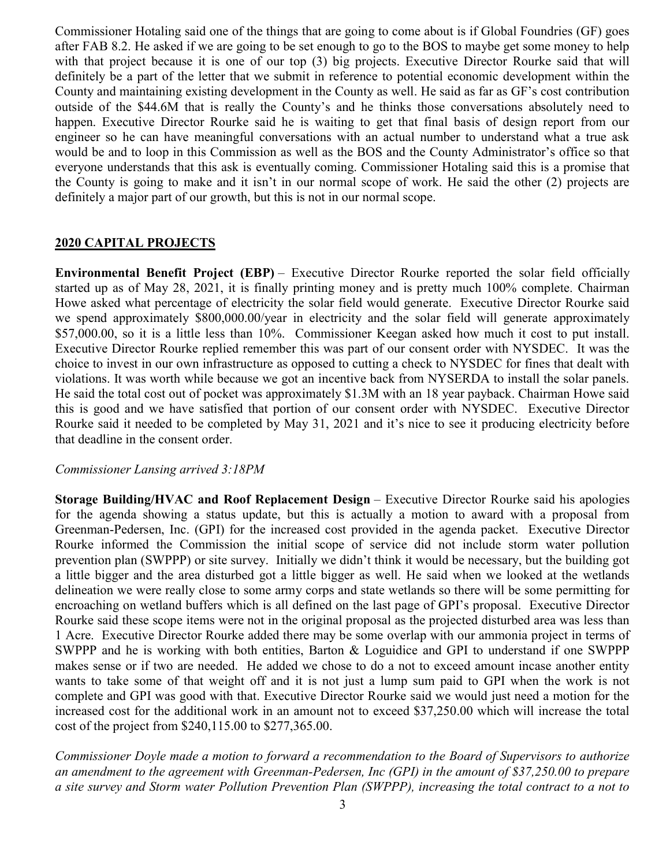Commissioner Hotaling said one of the things that are going to come about is if Global Foundries (GF) goes after FAB 8.2. He asked if we are going to be set enough to go to the BOS to maybe get some money to help with that project because it is one of our top (3) big projects. Executive Director Rourke said that will definitely be a part of the letter that we submit in reference to potential economic development within the County and maintaining existing development in the County as well. He said as far as GF's cost contribution outside of the \$44.6M that is really the County's and he thinks those conversations absolutely need to happen. Executive Director Rourke said he is waiting to get that final basis of design report from our engineer so he can have meaningful conversations with an actual number to understand what a true ask would be and to loop in this Commission as well as the BOS and the County Administrator's office so that everyone understands that this ask is eventually coming. Commissioner Hotaling said this is a promise that the County is going to make and it isn't in our normal scope of work. He said the other (2) projects are definitely a major part of our growth, but this is not in our normal scope.

#### 2020 CAPITAL PROJECTS

Environmental Benefit Project (EBP) – Executive Director Rourke reported the solar field officially started up as of May 28, 2021, it is finally printing money and is pretty much 100% complete. Chairman Howe asked what percentage of electricity the solar field would generate. Executive Director Rourke said we spend approximately \$800,000.00/year in electricity and the solar field will generate approximately \$57,000.00, so it is a little less than 10%. Commissioner Keegan asked how much it cost to put install. Executive Director Rourke replied remember this was part of our consent order with NYSDEC. It was the choice to invest in our own infrastructure as opposed to cutting a check to NYSDEC for fines that dealt with violations. It was worth while because we got an incentive back from NYSERDA to install the solar panels. He said the total cost out of pocket was approximately \$1.3M with an 18 year payback. Chairman Howe said this is good and we have satisfied that portion of our consent order with NYSDEC. Executive Director Rourke said it needed to be completed by May 31, 2021 and it's nice to see it producing electricity before that deadline in the consent order.

#### Commissioner Lansing arrived 3:18PM

Storage Building/HVAC and Roof Replacement Design – Executive Director Rourke said his apologies for the agenda showing a status update, but this is actually a motion to award with a proposal from Greenman-Pedersen, Inc. (GPI) for the increased cost provided in the agenda packet. Executive Director Rourke informed the Commission the initial scope of service did not include storm water pollution prevention plan (SWPPP) or site survey. Initially we didn't think it would be necessary, but the building got a little bigger and the area disturbed got a little bigger as well. He said when we looked at the wetlands delineation we were really close to some army corps and state wetlands so there will be some permitting for encroaching on wetland buffers which is all defined on the last page of GPI's proposal. Executive Director Rourke said these scope items were not in the original proposal as the projected disturbed area was less than 1 Acre. Executive Director Rourke added there may be some overlap with our ammonia project in terms of SWPPP and he is working with both entities, Barton & Loguidice and GPI to understand if one SWPPP makes sense or if two are needed. He added we chose to do a not to exceed amount incase another entity wants to take some of that weight off and it is not just a lump sum paid to GPI when the work is not complete and GPI was good with that. Executive Director Rourke said we would just need a motion for the increased cost for the additional work in an amount not to exceed \$37,250.00 which will increase the total cost of the project from \$240,115.00 to \$277,365.00.

Commissioner Doyle made a motion to forward a recommendation to the Board of Supervisors to authorize an amendment to the agreement with Greenman-Pedersen, Inc (GPI) in the amount of \$37,250.00 to prepare a site survey and Storm water Pollution Prevention Plan (SWPPP), increasing the total contract to a not to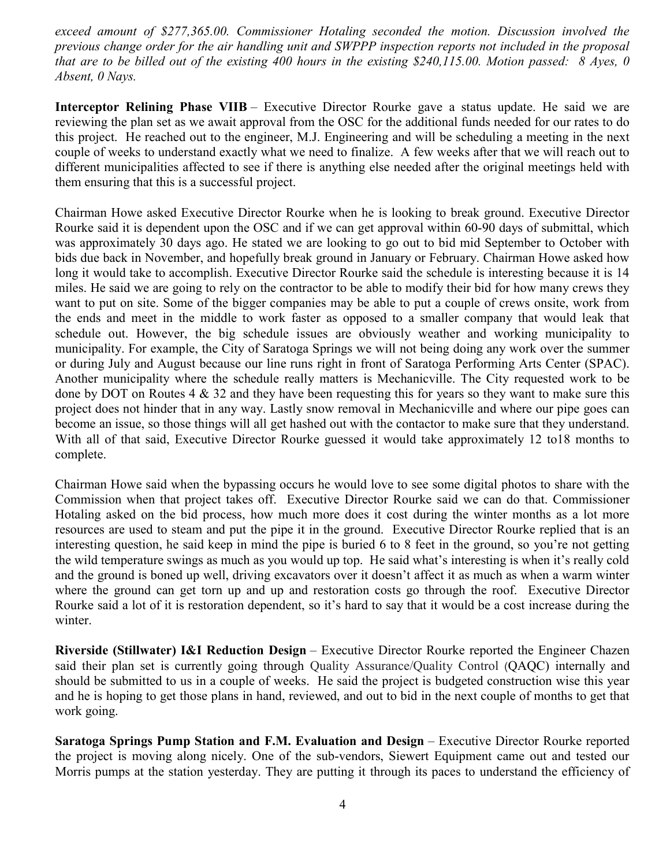exceed amount of \$277,365.00. Commissioner Hotaling seconded the motion. Discussion involved the previous change order for the air handling unit and SWPPP inspection reports not included in the proposal that are to be billed out of the existing 400 hours in the existing \$240,115.00. Motion passed:  $8 \text{ Ayes}, 0$ Absent, 0 Nays.

Interceptor Relining Phase VIIB – Executive Director Rourke gave a status update. He said we are reviewing the plan set as we await approval from the OSC for the additional funds needed for our rates to do this project. He reached out to the engineer, M.J. Engineering and will be scheduling a meeting in the next couple of weeks to understand exactly what we need to finalize. A few weeks after that we will reach out to different municipalities affected to see if there is anything else needed after the original meetings held with them ensuring that this is a successful project.

Chairman Howe asked Executive Director Rourke when he is looking to break ground. Executive Director Rourke said it is dependent upon the OSC and if we can get approval within 60-90 days of submittal, which was approximately 30 days ago. He stated we are looking to go out to bid mid September to October with bids due back in November, and hopefully break ground in January or February. Chairman Howe asked how long it would take to accomplish. Executive Director Rourke said the schedule is interesting because it is 14 miles. He said we are going to rely on the contractor to be able to modify their bid for how many crews they want to put on site. Some of the bigger companies may be able to put a couple of crews onsite, work from the ends and meet in the middle to work faster as opposed to a smaller company that would leak that schedule out. However, the big schedule issues are obviously weather and working municipality to municipality. For example, the City of Saratoga Springs we will not being doing any work over the summer or during July and August because our line runs right in front of Saratoga Performing Arts Center (SPAC). Another municipality where the schedule really matters is Mechanicville. The City requested work to be done by DOT on Routes  $4 \& 32$  and they have been requesting this for years so they want to make sure this project does not hinder that in any way. Lastly snow removal in Mechanicville and where our pipe goes can become an issue, so those things will all get hashed out with the contactor to make sure that they understand. With all of that said, Executive Director Rourke guessed it would take approximately 12 to18 months to complete.

Chairman Howe said when the bypassing occurs he would love to see some digital photos to share with the Commission when that project takes off. Executive Director Rourke said we can do that. Commissioner Hotaling asked on the bid process, how much more does it cost during the winter months as a lot more resources are used to steam and put the pipe it in the ground. Executive Director Rourke replied that is an interesting question, he said keep in mind the pipe is buried 6 to 8 feet in the ground, so you're not getting the wild temperature swings as much as you would up top. He said what's interesting is when it's really cold and the ground is boned up well, driving excavators over it doesn't affect it as much as when a warm winter where the ground can get torn up and up and restoration costs go through the roof. Executive Director Rourke said a lot of it is restoration dependent, so it's hard to say that it would be a cost increase during the winter.

Riverside (Stillwater) I&I Reduction Design – Executive Director Rourke reported the Engineer Chazen said their plan set is currently going through Quality Assurance/Quality Control (QAQC) internally and should be submitted to us in a couple of weeks. He said the project is budgeted construction wise this year and he is hoping to get those plans in hand, reviewed, and out to bid in the next couple of months to get that work going.

Saratoga Springs Pump Station and F.M. Evaluation and Design – Executive Director Rourke reported the project is moving along nicely. One of the sub-vendors, Siewert Equipment came out and tested our Morris pumps at the station yesterday. They are putting it through its paces to understand the efficiency of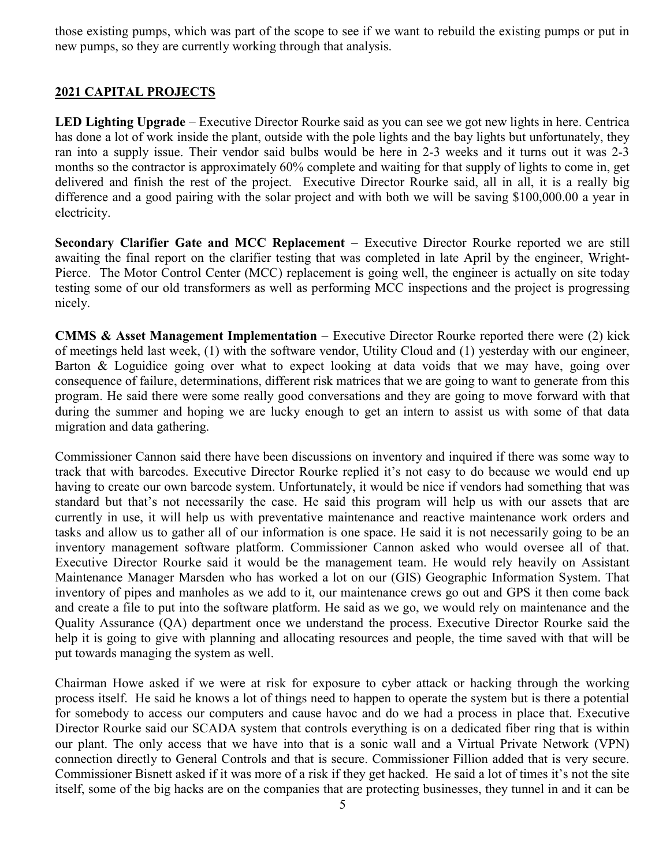those existing pumps, which was part of the scope to see if we want to rebuild the existing pumps or put in new pumps, so they are currently working through that analysis.

## 2021 CAPITAL PROJECTS

LED Lighting Upgrade – Executive Director Rourke said as you can see we got new lights in here. Centrica has done a lot of work inside the plant, outside with the pole lights and the bay lights but unfortunately, they ran into a supply issue. Their vendor said bulbs would be here in 2-3 weeks and it turns out it was 2-3 months so the contractor is approximately 60% complete and waiting for that supply of lights to come in, get delivered and finish the rest of the project. Executive Director Rourke said, all in all, it is a really big difference and a good pairing with the solar project and with both we will be saving \$100,000.00 a year in electricity.

Secondary Clarifier Gate and MCC Replacement – Executive Director Rourke reported we are still awaiting the final report on the clarifier testing that was completed in late April by the engineer, Wright-Pierce. The Motor Control Center (MCC) replacement is going well, the engineer is actually on site today testing some of our old transformers as well as performing MCC inspections and the project is progressing nicely.

CMMS & Asset Management Implementation – Executive Director Rourke reported there were (2) kick of meetings held last week, (1) with the software vendor, Utility Cloud and (1) yesterday with our engineer, Barton & Loguidice going over what to expect looking at data voids that we may have, going over consequence of failure, determinations, different risk matrices that we are going to want to generate from this program. He said there were some really good conversations and they are going to move forward with that during the summer and hoping we are lucky enough to get an intern to assist us with some of that data migration and data gathering.

Commissioner Cannon said there have been discussions on inventory and inquired if there was some way to track that with barcodes. Executive Director Rourke replied it's not easy to do because we would end up having to create our own barcode system. Unfortunately, it would be nice if vendors had something that was standard but that's not necessarily the case. He said this program will help us with our assets that are currently in use, it will help us with preventative maintenance and reactive maintenance work orders and tasks and allow us to gather all of our information is one space. He said it is not necessarily going to be an inventory management software platform. Commissioner Cannon asked who would oversee all of that. Executive Director Rourke said it would be the management team. He would rely heavily on Assistant Maintenance Manager Marsden who has worked a lot on our (GIS) Geographic Information System. That inventory of pipes and manholes as we add to it, our maintenance crews go out and GPS it then come back and create a file to put into the software platform. He said as we go, we would rely on maintenance and the Quality Assurance (QA) department once we understand the process. Executive Director Rourke said the help it is going to give with planning and allocating resources and people, the time saved with that will be put towards managing the system as well.

Chairman Howe asked if we were at risk for exposure to cyber attack or hacking through the working process itself. He said he knows a lot of things need to happen to operate the system but is there a potential for somebody to access our computers and cause havoc and do we had a process in place that. Executive Director Rourke said our SCADA system that controls everything is on a dedicated fiber ring that is within our plant. The only access that we have into that is a sonic wall and a Virtual Private Network (VPN) connection directly to General Controls and that is secure. Commissioner Fillion added that is very secure. Commissioner Bisnett asked if it was more of a risk if they get hacked. He said a lot of times it's not the site itself, some of the big hacks are on the companies that are protecting businesses, they tunnel in and it can be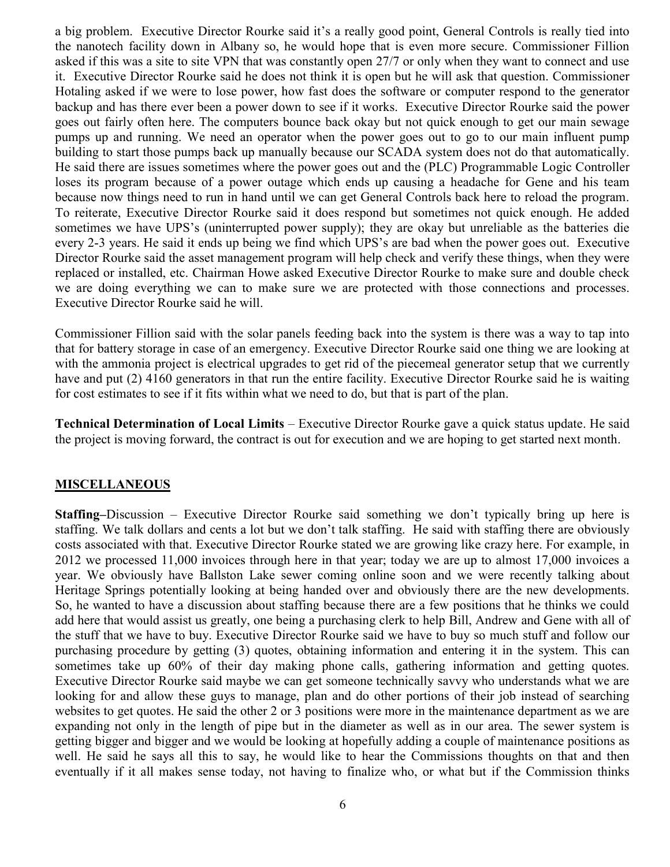a big problem. Executive Director Rourke said it's a really good point, General Controls is really tied into the nanotech facility down in Albany so, he would hope that is even more secure. Commissioner Fillion asked if this was a site to site VPN that was constantly open 27/7 or only when they want to connect and use it. Executive Director Rourke said he does not think it is open but he will ask that question. Commissioner Hotaling asked if we were to lose power, how fast does the software or computer respond to the generator backup and has there ever been a power down to see if it works. Executive Director Rourke said the power goes out fairly often here. The computers bounce back okay but not quick enough to get our main sewage pumps up and running. We need an operator when the power goes out to go to our main influent pump building to start those pumps back up manually because our SCADA system does not do that automatically. He said there are issues sometimes where the power goes out and the (PLC) Programmable Logic Controller loses its program because of a power outage which ends up causing a headache for Gene and his team because now things need to run in hand until we can get General Controls back here to reload the program. To reiterate, Executive Director Rourke said it does respond but sometimes not quick enough. He added sometimes we have UPS's (uninterrupted power supply); they are okay but unreliable as the batteries die every 2-3 years. He said it ends up being we find which UPS's are bad when the power goes out. Executive Director Rourke said the asset management program will help check and verify these things, when they were replaced or installed, etc. Chairman Howe asked Executive Director Rourke to make sure and double check we are doing everything we can to make sure we are protected with those connections and processes. Executive Director Rourke said he will.

Commissioner Fillion said with the solar panels feeding back into the system is there was a way to tap into that for battery storage in case of an emergency. Executive Director Rourke said one thing we are looking at with the ammonia project is electrical upgrades to get rid of the piecemeal generator setup that we currently have and put (2) 4160 generators in that run the entire facility. Executive Director Rourke said he is waiting for cost estimates to see if it fits within what we need to do, but that is part of the plan.

Technical Determination of Local Limits – Executive Director Rourke gave a quick status update. He said the project is moving forward, the contract is out for execution and we are hoping to get started next month.

#### **MISCELLANEOUS**

Staffing–Discussion – Executive Director Rourke said something we don't typically bring up here is staffing. We talk dollars and cents a lot but we don't talk staffing. He said with staffing there are obviously costs associated with that. Executive Director Rourke stated we are growing like crazy here. For example, in 2012 we processed 11,000 invoices through here in that year; today we are up to almost 17,000 invoices a year. We obviously have Ballston Lake sewer coming online soon and we were recently talking about Heritage Springs potentially looking at being handed over and obviously there are the new developments. So, he wanted to have a discussion about staffing because there are a few positions that he thinks we could add here that would assist us greatly, one being a purchasing clerk to help Bill, Andrew and Gene with all of the stuff that we have to buy. Executive Director Rourke said we have to buy so much stuff and follow our purchasing procedure by getting (3) quotes, obtaining information and entering it in the system. This can sometimes take up 60% of their day making phone calls, gathering information and getting quotes. Executive Director Rourke said maybe we can get someone technically savvy who understands what we are looking for and allow these guys to manage, plan and do other portions of their job instead of searching websites to get quotes. He said the other 2 or 3 positions were more in the maintenance department as we are expanding not only in the length of pipe but in the diameter as well as in our area. The sewer system is getting bigger and bigger and we would be looking at hopefully adding a couple of maintenance positions as well. He said he says all this to say, he would like to hear the Commissions thoughts on that and then eventually if it all makes sense today, not having to finalize who, or what but if the Commission thinks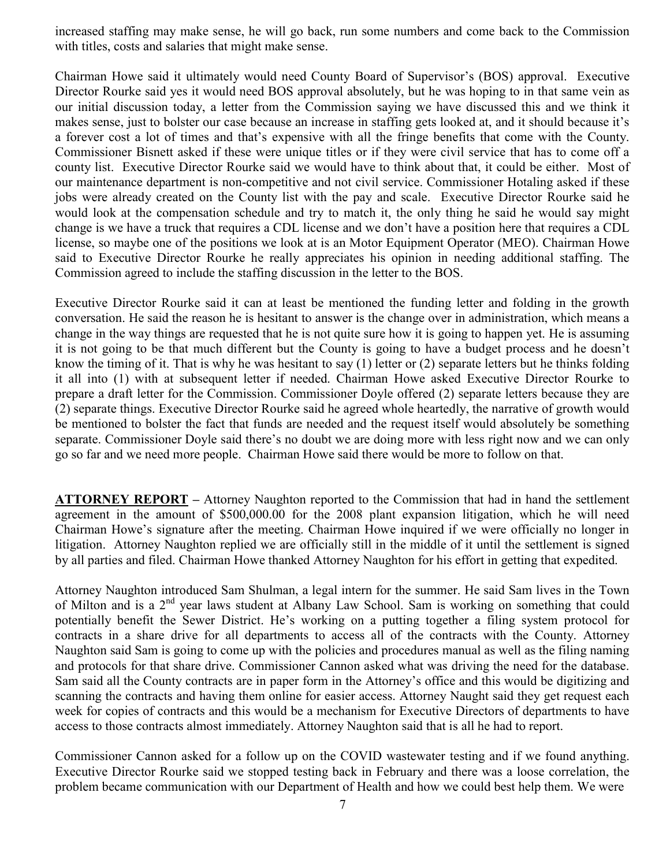increased staffing may make sense, he will go back, run some numbers and come back to the Commission with titles, costs and salaries that might make sense.

Chairman Howe said it ultimately would need County Board of Supervisor's (BOS) approval. Executive Director Rourke said yes it would need BOS approval absolutely, but he was hoping to in that same vein as our initial discussion today, a letter from the Commission saying we have discussed this and we think it makes sense, just to bolster our case because an increase in staffing gets looked at, and it should because it's a forever cost a lot of times and that's expensive with all the fringe benefits that come with the County. Commissioner Bisnett asked if these were unique titles or if they were civil service that has to come off a county list. Executive Director Rourke said we would have to think about that, it could be either. Most of our maintenance department is non-competitive and not civil service. Commissioner Hotaling asked if these jobs were already created on the County list with the pay and scale. Executive Director Rourke said he would look at the compensation schedule and try to match it, the only thing he said he would say might change is we have a truck that requires a CDL license and we don't have a position here that requires a CDL license, so maybe one of the positions we look at is an Motor Equipment Operator (MEO). Chairman Howe said to Executive Director Rourke he really appreciates his opinion in needing additional staffing. The Commission agreed to include the staffing discussion in the letter to the BOS.

Executive Director Rourke said it can at least be mentioned the funding letter and folding in the growth conversation. He said the reason he is hesitant to answer is the change over in administration, which means a change in the way things are requested that he is not quite sure how it is going to happen yet. He is assuming it is not going to be that much different but the County is going to have a budget process and he doesn't know the timing of it. That is why he was hesitant to say (1) letter or (2) separate letters but he thinks folding it all into (1) with at subsequent letter if needed. Chairman Howe asked Executive Director Rourke to prepare a draft letter for the Commission. Commissioner Doyle offered (2) separate letters because they are (2) separate things. Executive Director Rourke said he agreed whole heartedly, the narrative of growth would be mentioned to bolster the fact that funds are needed and the request itself would absolutely be something separate. Commissioner Doyle said there's no doubt we are doing more with less right now and we can only go so far and we need more people. Chairman Howe said there would be more to follow on that.

ATTORNEY REPORT – Attorney Naughton reported to the Commission that had in hand the settlement agreement in the amount of \$500,000.00 for the 2008 plant expansion litigation, which he will need Chairman Howe's signature after the meeting. Chairman Howe inquired if we were officially no longer in litigation. Attorney Naughton replied we are officially still in the middle of it until the settlement is signed by all parties and filed. Chairman Howe thanked Attorney Naughton for his effort in getting that expedited.

Attorney Naughton introduced Sam Shulman, a legal intern for the summer. He said Sam lives in the Town of Milton and is a 2<sup>nd</sup> year laws student at Albany Law School. Sam is working on something that could potentially benefit the Sewer District. He's working on a putting together a filing system protocol for contracts in a share drive for all departments to access all of the contracts with the County. Attorney Naughton said Sam is going to come up with the policies and procedures manual as well as the filing naming and protocols for that share drive. Commissioner Cannon asked what was driving the need for the database. Sam said all the County contracts are in paper form in the Attorney's office and this would be digitizing and scanning the contracts and having them online for easier access. Attorney Naught said they get request each week for copies of contracts and this would be a mechanism for Executive Directors of departments to have access to those contracts almost immediately. Attorney Naughton said that is all he had to report.

Commissioner Cannon asked for a follow up on the COVID wastewater testing and if we found anything. Executive Director Rourke said we stopped testing back in February and there was a loose correlation, the problem became communication with our Department of Health and how we could best help them. We were